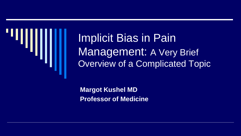

Implicit Bias in Pain Management: A Very Brief Overview of a Complicated Topic

**Margot Kushel MD Professor of Medicine**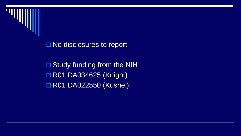

□ No disclosures to report

□ Study funding from the NIH **R01 DA034625 (Knight)** □ R01 DA022550 (Kushel)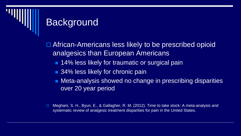#### **Background**

□ African-Americans less likely to be prescribed opioid analgesics than European Americans

- 14% less likely for traumatic or surgical pain
- 34% less likely for chronic pain
- **Neta-analysis showed no change in prescribing disparities** over 20 year period

□ Meghani, S. H., Byun, E., & Gallagher, R. M. (2012). Time to take stock: A meta-analysis and systematic review of analgesic treatment disparities for pain in the United States.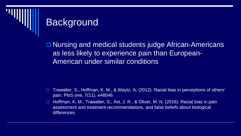# **Background**

□ Nursing and medical students judge African-Americans as less likely to experience pain than European-American under similar conditions

- Trawalter, S., Hoffman, K. M., & Waytz, A. (2012). Racial bias in perceptions of others' pain. PloS one, 7(11), e48546.
- □ Hoffman, K. M., Trawalter, S., Axt, J. R., & Oliver, M. N. (2016). Racial bias in pain assessment and treatment recommendations, and false beliefs about biological differences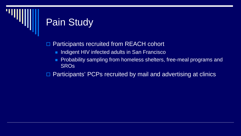# Pain Study

□ Participants recruited from REACH cohort

- **Indigent HIV infected adults in San Francisco**
- **Probability sampling from homeless shelters, free-meal programs and SROs**

□ Participants' PCPs recruited by mail and advertising at clinics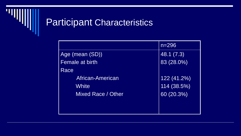

#### Participant Characteristics

|                    | $n = 296$   |
|--------------------|-------------|
| Age (mean (SD))    | 48.1 (7.3)  |
| Female at birth    | 83 (28.0%)  |
| Race               |             |
| African-American   | 122(41.2%)  |
| White              | 114 (38.5%) |
| Mixed Race / Other | 60 (20.3%)  |
|                    |             |
|                    |             |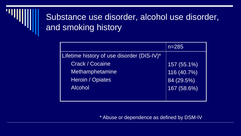#### Substance use disorder, alcohol use disorder, and smoking history

|                                            | $n = 285$     |
|--------------------------------------------|---------------|
| Lifetime history of use disorder (DIS-IV)* |               |
| <b>Crack / Cocaine</b>                     | $157(55.1\%)$ |
| Methamphetamine                            | 116 (40.7%)   |
| <b>Heroin / Opiates</b>                    | 84 (29.5%)    |
| <b>Alcohol</b>                             | 167 (58.6%)   |
|                                            |               |

#### \* Abuse or dependence as defined by DSM-IV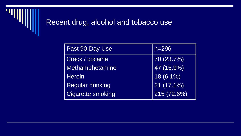

#### Recent drug, alcohol and tobacco use

| Past 90-Day Use          | $n = 296$               |
|--------------------------|-------------------------|
| Crack / cocaine          | 70 (23.7%)              |
| Methamphetamine          | $\overline{47(15.9\%)}$ |
| <b>Heroin</b>            | $18(6.1\%)$             |
| <b>Regular drinking</b>  | $21(17.1\%)$            |
| <b>Cigarette smoking</b> | 215 (72.6%)             |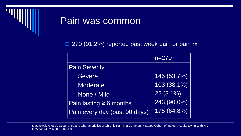

#### Pain was common

□ 270 (91.2%) reported past week pain or pain rx

|                               | $n = 270$   |
|-------------------------------|-------------|
| <b>Pain Severity</b>          |             |
| <b>Severe</b>                 | 145 (53.7%) |
| Moderate                      | 103 (38.1%) |
| None / Mild                   | $22(8.1\%)$ |
| Pain lasting $\geq 6$ months  | 243 (90.0%) |
| Pain every day (past 90 days) | 175 (64.8%) |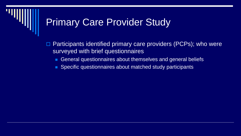#### **Primary Care Provider Study**

 Participants identified primary care providers (PCPs); who were surveyed with brief questionnaires

- General questionnaires about themselves and general beliefs
- **Specific questionnaires about matched study participants**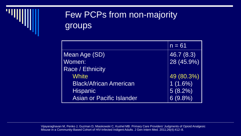

#### Few PCPs from non-majority groups

|                                  | $n = 61$   |
|----------------------------------|------------|
| Mean Age (SD)                    | 46.7 (8.3) |
| Women:                           | 28 (45.9%) |
| Race / Ethnicity                 |            |
| <b>White</b>                     | 49 (80.3%) |
| <b>Black/African American</b>    | $1(1.6\%)$ |
| <b>Hispanic</b>                  | $5(8.2\%)$ |
| <b>Asian or Pacific Islander</b> | $6(9.8\%)$ |

Vijayaraghavan M, Penko J, Guzman D, Miaskowski C, Kushel MB. Primary Care Providers' Judgments of Opioid Analgesic Misuse in a Community-Based Cohort of HIV-Infected Indigent Adults. J Gen Intern Med. 2011;26(4):412–8.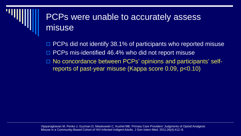#### PCPs were unable to accurately assess misuse

 PCPs did not identify 38.1% of participants who reported misuse □ PCPs mis-identified 46.4% who did not report misuse

□ No concordance between PCPs' opinions and participants' selfreports of past-year misuse (Kappa score 0.09, p<0.10)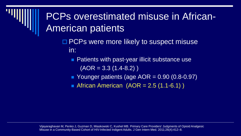## PCPs overestimated misuse in African-American patients

- □ PCPs were more likely to suspect misuse in:
	- Patients with past-year illicit substance use  $(AOR = 3.3 (1.4-8.2))$
	- Younger patients (age  $AOR = 0.90$  (0.8-0.97)
	- African American  $(AOR = 2.5 (1.1-6.1))$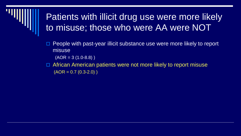#### Patients with illicit drug use were more likely to misuse; those who were AA were NOT

 $\Box$  People with past-year illicit substance use were more likely to report misuse

 $(AOR = 3 (1.0-8.8))$ 

□ African American patients were not more likely to report misuse  $(AOR = 0.7 (0.3-2.0))$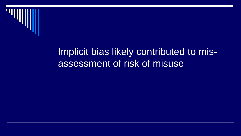

#### Implicit bias likely contributed to misassessment of risk of misuse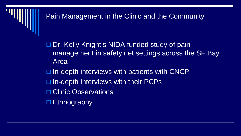#### Pain Management in the Clinic and the Community

□ Dr. Kelly Knight's NIDA funded study of pain management in safety net settings across the SF Bay Area

 $\Box$  In-depth interviews with patients with CNCP

- $\Box$  In-depth interviews with their PCPs
- **□ Clinic Observations**
- $\square$  Ethnography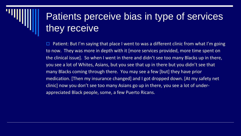# Patients perceive bias in type of services they receive

Patient: But I'm saying that place I went to was a different clinic from what I'm going to now. They was more in depth with it [more services provided, more time spent on the clinical issue]. So when I went in there and didn't see too many Blacks up in there, you see a lot of Whites, Asians, but you see that up in there but you didn't see that many Blacks coming through there. You may see a few [but] they have prior medication. [Then my insurance changed] and I got dropped down. [At my safety net clinic] now you don't see too many Asians go up in there, you see a lot of underappreciated Black people, some, a few Puerto Ricans.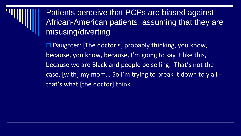

 $\square$  Daughter: [The doctor's] probably thinking, you know, because, you know, because, I'm going to say it like this, because we are Black and people be selling. That's not the case, [with] my mom… So I'm trying to break it down to y'all that's what [the doctor] think.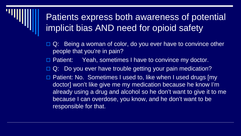#### Patients express both awareness of potential implicit bias AND need for opioid safety

- $\Box$  Q: Being a woman of color, do you ever have to convince other people that you're in pain?
- □ Patient: Yeah, sometimes I have to convince my doctor.
- Q: Do you ever have trouble getting your pain medication?
- □ Patient: No. Sometimes I used to, like when I used drugs [my doctor] won't like give me my medication because he know I'm already using a drug and alcohol so he don't want to give it to me because I can overdose, you know, and he don't want to be responsible for that.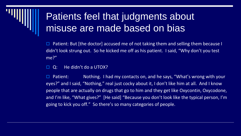# Patients feel that judgments about misuse are made based on bias

 Patient: But [the doctor] accused me of not taking them and selling them because I didn't look strung out. So he kicked me off as his patient. I said, "Why don't you test me?"

 $\Box$  Q: He didn't do a UTOX?

 $\Box$  Patient: Nothing. I had my contacts on, and he says, "What's wrong with your eyes?" and I said, "Nothing," real just cocky about it, I don't like him at all. And I know people that are actually on drugs that go to him and they get like Oxycontin, Oxycodone, and I'm like, "What gives?" [He said] "Because you don't look like the typical person, I'm going to kick you off." So there's so many categories of people.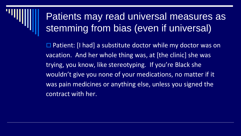## Patients may read universal measures as stemming from bias (even if universal)

 $\Box$  Patient: [I had] a substitute doctor while my doctor was on vacation. And her whole thing was, at [the clinic] she was trying, you know, like stereotyping. If you're Black she wouldn't give you none of your medications, no matter if it was pain medicines or anything else, unless you signed the contract with her.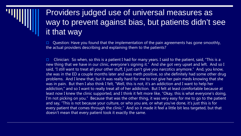#### Providers judged use of universal measures as way to prevent against bias, but patients didn't see it that way

 Question: Have you found that the implementation of the pain agreements has gone smoothly, the actual providers describing and explaining them to the patients?

**Clinician:** So when, so this is a patient I had for many years. I said to the patient, said, "This is a new thing that we have in our clinic, everyone's signing it." And she got very upset and left. And so I said, "I still want to treat all your other stuff, I just can't give you narcotics anymore." And, you know, she was in the ED a couple months later and was meth positive, so she definitely had some other drug problems. And I knew that, but it was really hard for me to not give her pain meds knowing that she was in pain. But then I also think I felt, "Well, this is not, it's an addiction and I want to help her addiction," and so I want to really treat all of her addiction. But I felt at least comfortable because at least now I knew the clinic supported, and I think it felt more like, "Okay, this is what everyone's doing, I'm not picking on you." Because that was the other thing, it was very easy for me to go to the patient and say, "This is not because your culture, or who you are, or what you've done, it's just this is for every patient that comes through the clinic." And so it made it feel a little bit less targeted, but that doesn't mean that every patient took it exactly the same.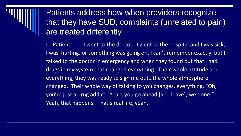#### Patients address how when providers recognize that they have SUD, complaints (unrelated to pain) are treated differently

Patient: I went to the doctor...I went to the hospital and I was sick, I was hurting, or something was going on, I can't remember exactly, but I talked to the doctor in emergency and when they found out that I had drugs in my system that changed everything. Their whole attitude and everything, they was ready to sign me out…the whole atmosphere changed. Their whole way of talking to you changes, everything, "Oh, you're just a drug addict. Yeah, you go ahead [and leave], we done." Yeah, that happens. That's real life, yeah.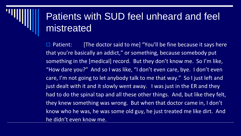#### Patients with SUD feel unheard and feel mistreated

 Patient: [The doctor said to me] "You'll be fine because it says here that you're basically an addict," or something, because somebody put something in the [medical] record. But they don't know me. So I'm like, "How dare you?" And so I was like, "I don't even care, bye. I don't even care, I'm not going to let anybody talk to me that way." So I just left and just dealt with it and it slowly went away. I was just in the ER and they had to do the spinal tap and all these other things. And, but like they felt, they knew something was wrong. But when that doctor came in, I don't know who he was, he was some old guy, he just treated me like dirt. And he didn't even know me.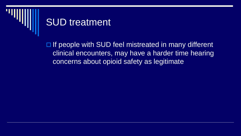

#### SUD treatment

 $\Box$  If people with SUD feel mistreated in many different clinical encounters, may have a harder time hearing concerns about opioid safety as legitimate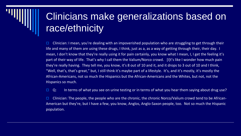# Clinicians make generalizations based on race/ethnicity

 $\Box$  Clinician: I mean, you're dealing with an impoverished population who are struggling to get through their life and many of them are using these drugs, I think, just as a, as a way of getting through their, their day. I mean, I don't know that they're really using it for pain certainly, you know what I mean, I, I get the feeling it's part of their way of life. That's why I call them the Valium/Norco crowd. [I]t's like I wonder how much pain they're really having. They tell me, you know, it's 8 out of 10 and it, and it drops to 3 out of 10 and I think, "Well, that's, that's great," but, I still think it's maybe part of a lifestyle. It's, and it's mostly, it's mostly the African-Americans, not so much the Hispanics but the African-Americans and the Whites, but not, not the Hispanics so much.

 $\Box$  Q: In terms of what you see on urine testing or in terms of what you hear them saying about drug use?

**Clinician: The people, the people who are the chronic, the chronic Norco/Valium crowd tend to be African-**American but they're, but I have a few, you know, Anglos, Anglo-Saxon people, too. Not so much the Hispanic population.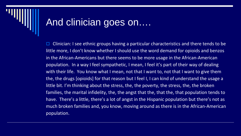#### And clinician goes on….

 Clinician: I see ethnic groups having a particular characteristics and there tends to be little more, I don't know whether I should use the word demand for opioids and benzos in the African-Americans but there seems to be more usage in the African-American population. In a way I feel sympathetic, I mean, I feel it's part of their way of dealing with their life. You know what I mean, not that I want to, not that I want to give them the, the drugs [opioids] for that reason but I feel I, I can kind of understand the usage a little bit. I'm thinking about the stress, the, the poverty, the stress, the, the broken families, the marital infidelity, the, the angst that the, that the, that population tends to have. There's a little, there's a lot of angst in the Hispanic population but there's not as much broken families and, you know, moving around as there is in the African-American population.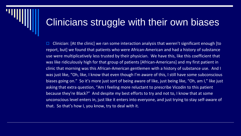#### Clinicians struggle with their own biases

 $\Box$  Clinician: [At the clinic] we ran some interaction analysis that weren't significant enough [to report, but] we found that patients who were African-American and had a history of substance use were multiplicatively less trusted by their physician. We have this, like this coefficient that was like ridiculously high for that group of patients [African-Americans] and my first patient in clinic that morning was this African-American gentlemen with a history of substance use. And I was just like, "Oh, like, I know that even though I'm aware of this, I still have some subconscious biases going on." So it's more just sort of being aware of like, just being like, "Oh, am I," like just asking that extra question, "Am I feeling more reluctant to prescribe Vicodin to this patient because they're Black?" And despite my best efforts to try and not to, I know that at some unconscious level enters in, just like it enters into everyone, and just trying to stay self-aware of that. So that's how I, you know, try to deal with it.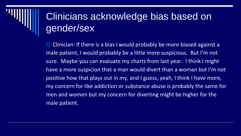# Clinicians acknowledge bias based on gender/sex

 Clinician: If there is a bias I would probably be more biased against a male patient, I would probably be a little more suspicious. But I'm not sure. Maybe you can evaluate my charts from last year. I think I might have a more suspicion that a man would divert than a woman but I'm not positive how that plays out in my, and I guess, yeah, I think I have more, my concern for like addiction or substance abuse is probably the same for men and women but my concern for diverting might be higher for the male patient.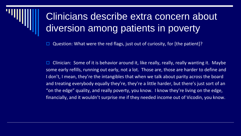# Clinicians describe extra concern about diversion among patients in poverty

Question: What were the red flags, just out of curiosity, for [the patient]?

 $\Box$  Clinician: Some of it is behavior around it, like really, really, really wanting it. Maybe some early refills, running out early, not a lot. Those are, those are harder to define and I don't, I mean, they're the intangibles that when we talk about parity across the board and treating everybody equally they're, they're a little harder, but there's just sort of an "on the edge" quality, and really poverty, you know. I know they're living on the edge, financially, and it wouldn't surprise me if they needed income out of Vicodin, you know.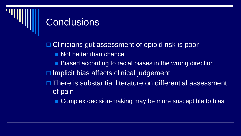#### **Conclusions**

□ Clinicians gut assessment of opioid risk is poor **Not better than chance**  Biased according to racial biases in the wrong direction  $\Box$  Implicit bias affects clinical judgement □ There is substantial literature on differential assessment of pain

**Complex decision-making may be more susceptible to bias**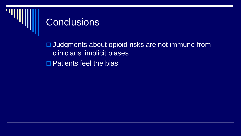# **Conclusions**

□ Judgments about opioid risks are not immune from clinicians' implicit biases

□ Patients feel the bias